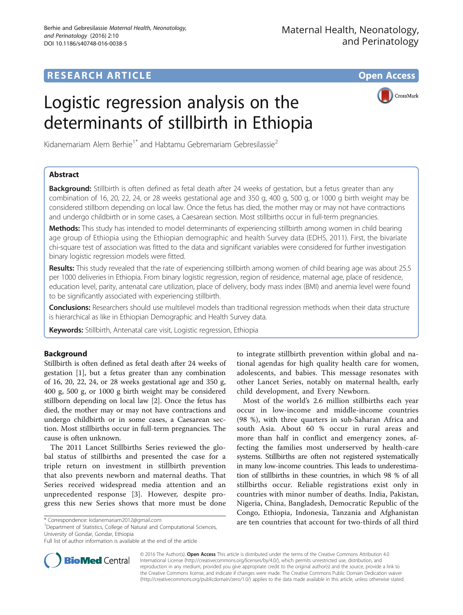# **RESEARCH ARTICLE Example 2014 12:30 The Contract of Contract ACCESS**

# Logistic regression analysis on the determinants of stillbirth in Ethiopia



Kidanemariam Alem Berhie<sup>1\*</sup> and Habtamu Gebremariam Gebresilassie<sup>2</sup>

## Abstract

**Background:** Stillbirth is often defined as fetal death after 24 weeks of gestation, but a fetus greater than any combination of 16, 20, 22, 24, or 28 weeks gestational age and 350 g, 400 g, 500 g, or 1000 g birth weight may be considered stillborn depending on local law. Once the fetus has died, the mother may or may not have contractions and undergo childbirth or in some cases, a Caesarean section. Most stillbirths occur in full-term pregnancies.

Methods: This study has intended to model determinants of experiencing stillbirth among women in child bearing age group of Ethiopia using the Ethiopian demographic and health Survey data (EDHS, 2011). First, the bivariate chi-square test of association was fitted to the data and significant variables were considered for further investigation binary logistic regression models were fitted.

Results: This study revealed that the rate of experiencing stillbirth among women of child bearing age was about 25.5 per 1000 deliveries in Ethiopia. From binary logistic regression, region of residence, maternal age, place of residence, education level, parity, antenatal care utilization, place of delivery, body mass index (BMI) and anemia level were found to be significantly associated with experiencing stillbirth.

Conclusions: Researchers should use multilevel models than traditional regression methods when their data structure is hierarchical as like in Ethiopian Demographic and Health Survey data.

Keywords: Stillbirth, Antenatal care visit, Logistic regression, Ethiopia

## Background

Stillbirth is often defined as fetal death after 24 weeks of gestation [[1\]](#page-8-0), but a fetus greater than any combination of 16, 20, 22, 24, or 28 weeks gestational age and 350 g, 400 g, 500 g, or 1000 g birth weight may be considered stillborn depending on local law [[2\]](#page-8-0). Once the fetus has died, the mother may or may not have contractions and undergo childbirth or in some cases, a Caesarean section. Most stillbirths occur in full-term pregnancies. The cause is often unknown.

The 2011 Lancet Stillbirths Series reviewed the global status of stillbirths and presented the case for a triple return on investment in stillbirth prevention that also prevents newborn and maternal deaths. That Series received widespread media attention and an unprecedented response [[3\]](#page-8-0). However, despite progress this new Series shows that more must be done

<sup>1</sup>Department of Statistics, College of Natural and Computational Sciences, University of Gondar, Gondar, Ethiopia

to integrate stillbirth prevention within global and national agendas for high quality health care for women, adolescents, and babies. This message resonates with other Lancet Series, notably on maternal health, early child development, and Every Newborn.

Most of the world's 2.6 million stillbirths each year occur in low-income and middle-income countries (98 %), with three quarters in sub-Saharan Africa and south Asia. About 60 % occur in rural areas and more than half in conflict and emergency zones, affecting the families most underserved by health-care systems. Stillbirths are often not registered systematically in many low-income countries. This leads to underestimation of stillbirths in these countries, in which 98 % of all stillbirths occur. Reliable registrations exist only in countries with minor number of deaths. India, Pakistan, Nigeria, China, Bangladesh, Democratic Republic of the Congo, Ethiopia, Indonesia, Tanzania and Afghanistan are ten countries that account for two-thirds of all third \* Correspondence: [kidanemariam2012@gmail.com](mailto:kidanemariam2012@gmail.com) <sup>1</sup>



© 2016 The Author(s). Open Access This article is distributed under the terms of the Creative Commons Attribution 4.0 International License [\(http://creativecommons.org/licenses/by/4.0/](http://creativecommons.org/licenses/by/4.0/)), which permits unrestricted use, distribution, and reproduction in any medium, provided you give appropriate credit to the original author(s) and the source, provide a link to the Creative Commons license, and indicate if changes were made. The Creative Commons Public Domain Dedication waiver [\(http://creativecommons.org/publicdomain/zero/1.0/](http://creativecommons.org/publicdomain/zero/1.0/)) applies to the data made available in this article, unless otherwise stated.

Full list of author information is available at the end of the article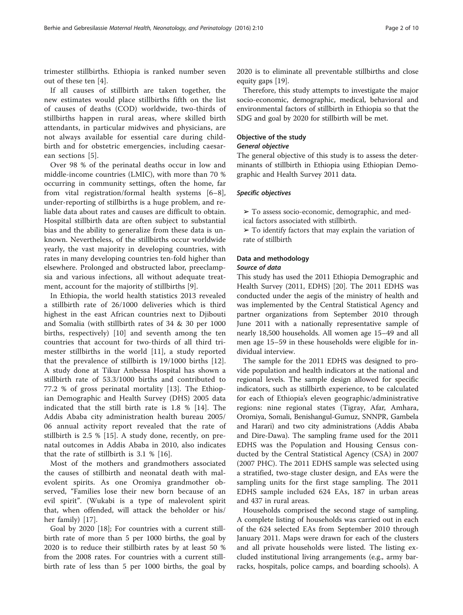trimester stillbirths. Ethiopia is ranked number seven out of these ten [[4\]](#page-8-0).

If all causes of stillbirth are taken together, the new estimates would place stillbirths fifth on the list of causes of deaths (COD) worldwide, two-thirds of stillbirths happen in rural areas, where skilled birth attendants, in particular midwives and physicians, are not always available for essential care during childbirth and for obstetric emergencies, including caesarean sections [\[5](#page-8-0)].

Over 98 % of the perinatal deaths occur in low and middle-income countries (LMIC), with more than 70 % occurring in community settings, often the home, far from vital registration/formal health systems [[6](#page-8-0)–[8](#page-8-0)], under-reporting of stillbirths is a huge problem, and reliable data about rates and causes are difficult to obtain. Hospital stillbirth data are often subject to substantial bias and the ability to generalize from these data is unknown. Nevertheless, of the stillbirths occur worldwide yearly, the vast majority in developing countries, with rates in many developing countries ten-fold higher than elsewhere. Prolonged and obstructed labor, preeclampsia and various infections, all without adequate treatment, account for the majority of stillbirths [\[9](#page-8-0)].

In Ethiopia, the world health statistics 2013 revealed a stillbirth rate of 26/1000 deliveries which is third highest in the east African countries next to Djibouti and Somalia (with stillbirth rates of 34 & 30 per 1000 births, respectively) [[10](#page-8-0)] and seventh among the ten countries that account for two-thirds of all third trimester stillbirths in the world [[11\]](#page-8-0), a study reported that the prevalence of stillbirth is 19/1000 births [\[12](#page-8-0)]. A study done at Tikur Anbessa Hospital has shown a stillbirth rate of 53.3/1000 births and contributed to 77.2 % of gross perinatal mortality [[13\]](#page-8-0). The Ethiopian Demographic and Health Survey (DHS) 2005 data indicated that the still birth rate is 1.8 % [\[14](#page-8-0)]. The Addis Ababa city administration health bureau 2005/ 06 annual activity report revealed that the rate of stillbirth is 2.5 % [\[15](#page-8-0)]. A study done, recently, on prenatal outcomes in Addis Ababa in 2010, also indicates that the rate of stillbirth is 3.1 % [[16](#page-8-0)].

Most of the mothers and grandmothers associated the causes of stillbirth and neonatal death with malevolent spirits. As one Oromiya grandmother observed, "Families lose their new born because of an evil spirit". (Wukabi is a type of malevolent spirit that, when offended, will attack the beholder or his/ her family) [\[17](#page-8-0)].

Goal by 2020 [[18](#page-8-0)]; For countries with a current stillbirth rate of more than 5 per 1000 births, the goal by 2020 is to reduce their stillbirth rates by at least 50 % from the 2008 rates. For countries with a current stillbirth rate of less than 5 per 1000 births, the goal by

2020 is to eliminate all preventable stillbirths and close equity gaps [[19\]](#page-8-0).

Therefore, this study attempts to investigate the major socio-economic, demographic, medical, behavioral and environmental factors of stillbirth in Ethiopia so that the SDG and goal by 2020 for stillbirth will be met.

## Objective of the study

## General objective

The general objective of this study is to assess the determinants of stillbirth in Ethiopia using Ethiopian Demographic and Health Survey 2011 data.

## Specific objectives

- ➢ To assess socio-economic, demographic, and med-
- ical factors associated with stillbirth.
- $\triangleright$  To identify factors that may explain the variation of rate of stillbirth

## Data and methodology

#### Source of data

This study has used the 2011 Ethiopia Demographic and Health Survey (2011, EDHS) [[20\]](#page-8-0). The 2011 EDHS was conducted under the aegis of the ministry of health and was implemented by the Central Statistical Agency and partner organizations from September 2010 through June 2011 with a nationally representative sample of nearly 18,500 households. All women age 15–49 and all men age 15–59 in these households were eligible for individual interview.

The sample for the 2011 EDHS was designed to provide population and health indicators at the national and regional levels. The sample design allowed for specific indicators, such as stillbirth experience, to be calculated for each of Ethiopia's eleven geographic/administrative regions: nine regional states (Tigray, Afar, Amhara, Oromiya, Somali, Benishangul-Gumuz, SNNPR, Gambela and Harari) and two city administrations (Addis Ababa and Dire-Dawa). The sampling frame used for the 2011 EDHS was the Population and Housing Census conducted by the Central Statistical Agency (CSA) in 2007 (2007 PHC). The 2011 EDHS sample was selected using a stratified, two-stage cluster design, and EAs were the sampling units for the first stage sampling. The 2011 EDHS sample included 624 EAs, 187 in urban areas and 437 in rural areas.

Households comprised the second stage of sampling. A complete listing of households was carried out in each of the 624 selected EAs from September 2010 through January 2011. Maps were drawn for each of the clusters and all private households were listed. The listing excluded institutional living arrangements (e.g., army barracks, hospitals, police camps, and boarding schools). A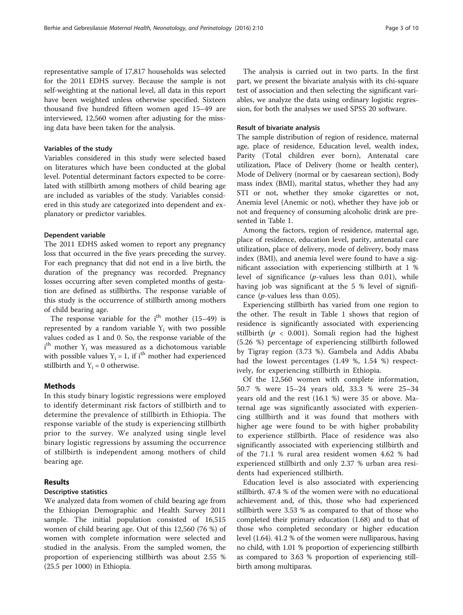representative sample of 17,817 households was selected for the 2011 EDHS survey. Because the sample is not self-weighting at the national level, all data in this report have been weighted unless otherwise specified. Sixteen thousand five hundred fifteen women aged 15–49 are interviewed, 12,560 women after adjusting for the missing data have been taken for the analysis.

#### Variables of the study

Variables considered in this study were selected based on literatures which have been conducted at the global level. Potential determinant factors expected to be correlated with stillbirth among mothers of child bearing age are included as variables of the study. Variables considered in this study are categorized into dependent and explanatory or predictor variables.

#### Dependent variable

The 2011 EDHS asked women to report any pregnancy loss that occurred in the five years preceding the survey. For each pregnancy that did not end in a live birth, the duration of the pregnancy was recorded. Pregnancy losses occurring after seven completed months of gestation are defined as stillbirths. The response variable of this study is the occurrence of stillbirth among mothers of child bearing age.

The response variable for the  $i<sup>th</sup>$  mother (15–49) is represented by a random variable  $Y_i$  with two possible values coded as 1 and 0. So, the response variable of the  $i<sup>th</sup>$  mother  $Y_i$  was measured as a dichotomous variable with possible values  $Y_i = 1$ , if i<sup>th</sup> mother had experienced stillbirth and  $Y_i = 0$  otherwise.

## **Methods**

In this study binary logistic regressions were employed to identify determinant risk factors of stillbirth and to determine the prevalence of stillbirth in Ethiopia. The response variable of the study is experiencing stillbirth prior to the survey. We analyzed using single level binary logistic regressions by assuming the occurrence of stillbirth is independent among mothers of child bearing age.

## Results

## Descriptive statistics

We analyzed data from women of child bearing age from the Ethiopian Demographic and Health Survey 2011 sample. The initial population consisted of 16,515 women of child bearing age. Out of this 12,560 (76 %) of women with complete information were selected and studied in the analysis. From the sampled women, the proportion of experiencing stillbirth was about 2.55 % (25.5 per 1000) in Ethiopia.

The analysis is carried out in two parts. In the first part, we present the bivariate analysis with its chi-square test of association and then selecting the significant variables, we analyze the data using ordinary logistic regression, for both the analyses we used SPSS 20 software.

#### Result of bivariate analysis

The sample distribution of region of residence, maternal age, place of residence, Education level, wealth index, Parity (Total children ever born), Antenatal care utilization, Place of Delivery (home or health center), Mode of Delivery (normal or by caesarean section), Body mass index (BMI), marital status, whether they had any STI or not, whether they smoke cigarettes or not, Anemia level (Anemic or not), whether they have job or not and frequency of consuming alcoholic drink are presented in Table [1.](#page-3-0)

Among the factors, region of residence, maternal age, place of residence, education level, parity, antenatal care utilization, place of delivery, mode of delivery, body mass index (BMI), and anemia level were found to have a significant association with experiencing stillbirth at 1 % level of significance (p-values less than 0.01), while having job was significant at the 5 % level of significance ( $p$ -values less than 0.05).

Experiencing stillbirth has varied from one region to the other. The result in Table [1](#page-3-0) shows that region of residence is significantly associated with experiencing stillbirth ( $p < 0.001$ ). Somali region had the highest (5.26 %) percentage of experiencing stillbirth followed by Tigray region (3.73 %). Gambela and Addis Ababa had the lowest percentages (1.49 %, 1.54 %) respectively, for experiencing stillbirth in Ethiopia.

Of the 12,560 women with complete information, 50.7 % were 15–24 years old, 33.3 % were 25–34 years old and the rest (16.1 %) were 35 or above. Maternal age was significantly associated with experiencing stillbirth and it was found that mothers with higher age were found to be with higher probability to experience stillbirth. Place of residence was also significantly associated with experiencing stillbirth and of the 71.1 % rural area resident women 4.62 % had experienced stillbirth and only 2.37 % urban area residents had experienced stillbirth.

Education level is also associated with experiencing stillbirth. 47.4 % of the women were with no educational achievement and, of this, those who had experienced stillbirth were 3.53 % as compared to that of those who completed their primary education (1.68) and to that of those who completed secondary or higher education level (1.64). 41.2 % of the women were nulliparous, having no child, with 1.01 % proportion of experiencing stillbirth as compared to 3.63 % proportion of experiencing stillbirth among multiparas.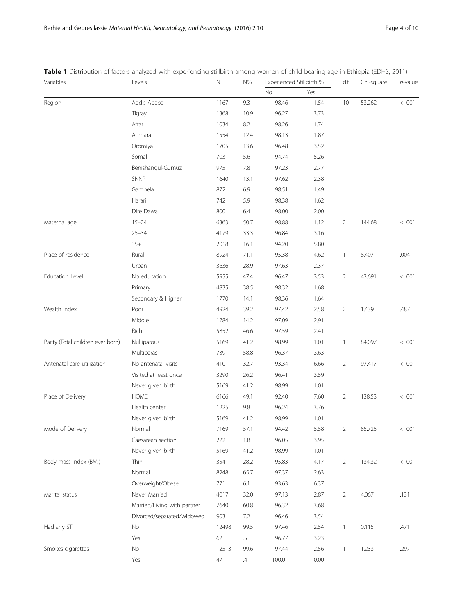| Variables                         | Levels                      | $\mathbb N$ | N%            | Experienced Stillbirth % |      | d.f            | Chi-square | $p$ -value |
|-----------------------------------|-----------------------------|-------------|---------------|--------------------------|------|----------------|------------|------------|
|                                   |                             |             |               | No                       | Yes  |                |            |            |
| Region                            | Addis Ababa                 | 1167        | 9.3           | 98.46                    | 1.54 | 10             | 53.262     | < .001     |
|                                   | Tigray                      | 1368        | 10.9          | 96.27                    | 3.73 |                |            |            |
|                                   | Affar                       | 1034        | 8.2           | 98.26                    | 1.74 |                |            |            |
|                                   | Amhara                      | 1554        | 12.4          | 98.13                    | 1.87 |                |            |            |
|                                   | Oromiya                     | 1705        | 13.6          | 96.48                    | 3.52 |                |            |            |
|                                   | Somali                      | 703         | 5.6           | 94.74                    | 5.26 |                |            |            |
|                                   | Benishangul-Gumuz           | 975         | 7.8           | 97.23                    | 2.77 |                |            |            |
|                                   | SNNP                        | 1640        | 13.1          | 97.62                    | 2.38 |                |            |            |
|                                   | Gambela                     | 872         | 6.9           | 98.51                    | 1.49 |                |            |            |
|                                   | Harari                      | 742         | 5.9           | 98.38                    | 1.62 |                |            |            |
|                                   | Dire Dawa                   | 800         | 6.4           | 98.00                    | 2.00 |                |            |            |
| Maternal age                      | $15 - 24$                   | 6363        | 50.7          | 98.88                    | 1.12 | $\overline{2}$ | 144.68     | < .001     |
|                                   | $25 - 34$                   | 4179        | 33.3          | 96.84                    | 3.16 |                |            |            |
|                                   | $35+$                       | 2018        | 16.1          | 94.20                    | 5.80 |                |            |            |
| Place of residence                | Rural                       | 8924        | 71.1          | 95.38                    | 4.62 | $\mathbf{1}$   | 8.407      | .004       |
|                                   | Urban                       | 3636        | 28.9          | 97.63                    | 2.37 |                |            |            |
| <b>Education Level</b>            | No education                | 5955        | 47.4          | 96.47                    | 3.53 | $\overline{2}$ | 43.691     | < .001     |
|                                   | Primary                     | 4835        | 38.5          | 98.32                    | 1.68 |                |            |            |
|                                   | Secondary & Higher          | 1770        | 14.1          | 98.36                    | 1.64 |                |            |            |
| Wealth Index                      | Poor                        | 4924        | 39.2          | 97.42                    | 2.58 | 2              | 1.439      | .487       |
|                                   | Middle                      | 1784        | 14.2          | 97.09                    | 2.91 |                |            |            |
|                                   | Rich                        | 5852        | 46.6          | 97.59                    | 2.41 |                |            |            |
| Parity (Total children ever born) | Nulliparous                 | 5169        | 41.2          | 98.99                    | 1.01 | $\mathbf{1}$   | 84.097     | < .001     |
|                                   | Multiparas                  | 7391        | 58.8          | 96.37                    | 3.63 |                |            |            |
| Antenatal care utilization        | No antenatal visits         | 4101        | 32.7          | 93.34                    | 6.66 | $\overline{2}$ | 97.417     | < .001     |
|                                   | Visited at least once       | 3290        | 26.2          | 96.41                    | 3.59 |                |            |            |
|                                   | Never given birth           | 5169        | 41.2          | 98.99                    | 1.01 |                |            |            |
| Place of Delivery                 | HOME                        | 6166        | 49.1          | 92.40                    | 7.60 | $\overline{2}$ | 138.53     | < .001     |
|                                   | Health center               | 1225        | 9.8           | 96.24                    | 3.76 |                |            |            |
|                                   | Never given birth           | 5169        | 41.2          | 98.99                    | 1.01 |                |            |            |
| Mode of Delivery                  | Normal                      | 7169        | 57.1          | 94.42                    | 5.58 | $\sqrt{2}$     | 85.725     | < .001     |
|                                   | Caesarean section           | 222         | $1.8\,$       | 96.05                    | 3.95 |                |            |            |
|                                   | Never given birth           | 5169        | 41.2          | 98.99                    | 1.01 |                |            |            |
| Body mass index (BMI)             | Thin                        | 3541        | 28.2          | 95.83                    | 4.17 | $\overline{2}$ | 134.32     | $<.001\,$  |
|                                   | Normal                      | 8248        | 65.7          | 97.37                    | 2.63 |                |            |            |
|                                   | Overweight/Obese            | 771         | 6.1           | 93.63                    | 6.37 |                |            |            |
| Marital status                    | Never Married               | 4017        | 32.0          | 97.13                    | 2.87 | $\overline{2}$ | 4.067      | .131       |
|                                   | Married/Living with partner | 7640        | 60.8          | 96.32                    | 3.68 |                |            |            |
|                                   | Divorced/separated/Widowed  | 903         | 7.2           | 96.46                    | 3.54 |                |            |            |
| Had any STI                       | $\rm No$                    | 12498       | 99.5          | 97.46                    | 2.54 | $\mathbf{1}$   | 0.115      | .471       |
|                                   | Yes                         | 62          | $.5\,$        | 96.77                    | 3.23 |                |            |            |
| Smokes cigarettes                 | No                          | 12513       | 99.6          | 97.44                    | 2.56 | 1              | 1.233      | .297       |
|                                   | Yes                         | $47\,$      | $\mathcal{A}$ | 100.0                    | 0.00 |                |            |            |

<span id="page-3-0"></span>Table 1 Distribution of factors analyzed with experiencing stillbirth among women of child bearing age in Ethiopia (EDHS, 2011)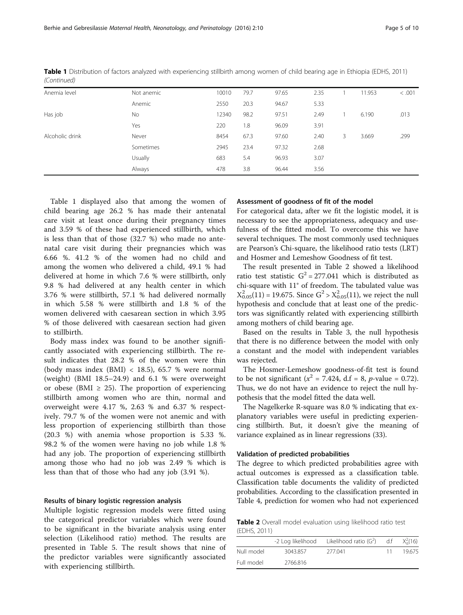| Anemia level    | Not anemic | 10010 | 79.7 | 97.65 | 2.35 |    | 11.953 | < .001 |
|-----------------|------------|-------|------|-------|------|----|--------|--------|
|                 | Anemic     | 2550  | 20.3 | 94.67 | 5.33 |    |        |        |
| Has job         | No         | 12340 | 98.2 | 97.51 | 2.49 |    | 6.190  | .013   |
|                 | Yes        | 220   | 1.8  | 96.09 | 3.91 |    |        |        |
| Alcoholic drink | Never      | 8454  | 67.3 | 97.60 | 2.40 | 3. | 3.669  | .299   |
|                 | Sometimes  | 2945  | 23.4 | 97.32 | 2.68 |    |        |        |
|                 | Usually    | 683   | 5.4  | 96.93 | 3.07 |    |        |        |
|                 | Always     | 478   | 3.8  | 96.44 | 3.56 |    |        |        |

Table 1 Distribution of factors analyzed with experiencing stillbirth among women of child bearing age in Ethiopia (EDHS, 2011) (Continued)

Table [1](#page-3-0) displayed also that among the women of child bearing age 26.2 % has made their antenatal care visit at least once during their pregnancy times and 3.59 % of these had experienced stillbirth, which is less than that of those (32.7 %) who made no antenatal care visit during their pregnancies which was 6.66 %. 41.2 % of the women had no child and among the women who delivered a child, 49.1 % had delivered at home in which 7.6 % were stillbirth, only 9.8 % had delivered at any health center in which 3.76 % were stillbirth, 57.1 % had delivered normally in which 5.58 % were stillbirth and 1.8 % of the women delivered with caesarean section in which 3.95 % of those delivered with caesarean section had given to stillbirth.

Body mass index was found to be another significantly associated with experiencing stillbirth. The result indicates that 28.2 % of the women were thin (body mass index (BMI) < 18.5), 65.7 % were normal (weight) (BMI 18.5–24.9) and 6.1 % were overweight or obese (BMI  $\geq$  25). The proportion of experiencing stillbirth among women who are thin, normal and overweight were 4.17 %, 2.63 % and 6.37 % respectively. 79.7 % of the women were not anemic and with less proportion of experiencing stillbirth than those (20.3 %) with anemia whose proportion is 5.33 %. 98.2 % of the women were having no job while 1.8 % had any job. The proportion of experiencing stillbirth among those who had no job was 2.49 % which is less than that of those who had any job (3.91 %).

#### Results of binary logistic regression analysis

Multiple logistic regression models were fitted using the categorical predictor variables which were found to be significant in the bivariate analysis using enter selection (Likelihood ratio) method. The results are presented in Table [5.](#page-6-0) The result shows that nine of the predictor variables were significantly associated with experiencing stillbirth.

## Assessment of goodness of fit of the model

For categorical data, after we fit the logistic model, it is necessary to see the appropriateness, adequacy and usefulness of the fitted model. To overcome this we have several techniques. The most commonly used techniques are Pearson's Chi-square, the likelihood ratio tests (LRT) and Hosmer and Lemeshow Goodness of fit test.

The result presented in Table 2 showed a likelihood ratio test statistic  $G^2 = 277.041$  which is distributed as chi-square with 11° of freedom. The tabulated value was  $X_{0.05}^2(11) = 19.675$ . Since  $G^2 > X_{0.05}^2(11)$ , we reject the null hypothesis and conclude that at least one of the predictors was significantly related with experiencing stillbirth among mothers of child bearing age.

Based on the results in Table [3](#page-5-0), the null hypothesis that there is no difference between the model with only a constant and the model with independent variables was rejected.

The Hosmer-Lemeshow goodness-of-fit test is found to be not significant ( $x^2 = 7.424$ , d.f = 8, p-value = 0.72). Thus, we do not have an evidence to reject the null hypothesis that the model fitted the data well.

The Nagelkerke R-square was 8.0 % indicating that explanatory variables were useful in predicting experiencing stillbirth. But, it doesn't give the meaning of variance explained as in linear regressions (33).

#### Validation of predicted probabilities

The degree to which predicted probabilities agree with actual outcomes is expressed as a classification table. Classification table documents the validity of predicted probabilities. According to the classification presented in Table [4](#page-5-0), prediction for women who had not experienced

Table 2 Overall model evaluation using likelihood ratio test (EDHS, 2011)

|            | -2 Log likelihood | Likelihood ratio $(G2)$ | df | $X_0^2(16)$ |
|------------|-------------------|-------------------------|----|-------------|
| Null model | 3043.857          | 277041                  | 11 | 19675       |
| Full model | 2766.816          |                         |    |             |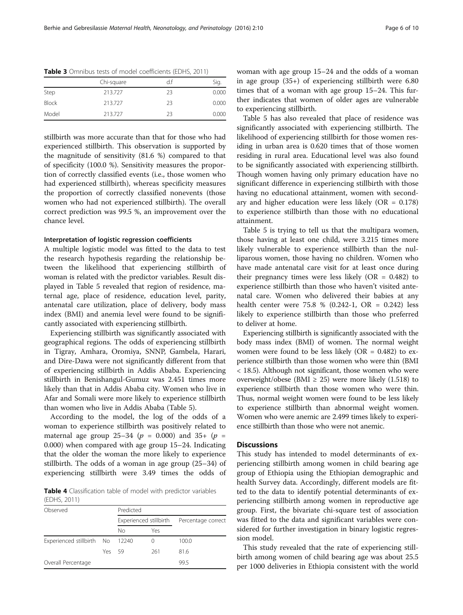|              | Chi-square | d.f | Sig.  |
|--------------|------------|-----|-------|
| Step         | 213.727    | 23  | 0.000 |
| <b>Block</b> | 213.727    | 23  | 0.000 |
| Model        | 213.727    | 23  | 0.000 |

<span id="page-5-0"></span>Table 3 Omnibus tests of model coefficients (EDHS, 2011)

stillbirth was more accurate than that for those who had experienced stillbirth. This observation is supported by the magnitude of sensitivity (81.6 %) compared to that of specificity (100.0 %). Sensitivity measures the proportion of correctly classified events (i.e., those women who had experienced stillbirth), whereas specificity measures the proportion of correctly classified nonevents (those women who had not experienced stillbirth). The overall correct prediction was 99.5 %, an improvement over the chance level.

#### Interpretation of logistic regression coefficients

A multiple logistic model was fitted to the data to test the research hypothesis regarding the relationship between the likelihood that experiencing stillbirth of woman is related with the predictor variables. Result displayed in Table [5](#page-6-0) revealed that region of residence, maternal age, place of residence, education level, parity, antenatal care utilization, place of delivery, body mass index (BMI) and anemia level were found to be significantly associated with experiencing stillbirth.

Experiencing stillbirth was significantly associated with geographical regions. The odds of experiencing stillbirth in Tigray, Amhara, Oromiya, SNNP, Gambela, Harari, and Dire-Dawa were not significantly different from that of experiencing stillbirth in Addis Ababa. Experiencing stillbirth in Benishangul-Gumuz was 2.451 times more likely than that in Addis Ababa city. Women who live in Afar and Somali were more likely to experience stillbirth than women who live in Addis Ababa (Table [5\)](#page-6-0).

According to the model, the log of the odds of a woman to experience stillbirth was positively related to maternal age group 25–34 ( $p = 0.000$ ) and 35+ ( $p =$ 0.000) when compared with age group 15–24. Indicating that the older the woman the more likely to experience stillbirth. The odds of a woman in age group (25–34) of experiencing stillbirth were 3.49 times the odds of

Table 4 Classification table of model with predictor variables (EDHS, 2011)

| . _ _ _ , _ _ <i>.</i>    |        |           |                        |                    |  |  |  |  |
|---------------------------|--------|-----------|------------------------|--------------------|--|--|--|--|
| Observed                  |        | Predicted |                        |                    |  |  |  |  |
|                           |        |           | Experienced stillbirth | Percentage correct |  |  |  |  |
|                           |        | No        | Yes                    |                    |  |  |  |  |
| Experienced stillbirth No |        | 12240     | 0                      | 100.0              |  |  |  |  |
|                           | Yes 59 |           | 261                    | 81.6               |  |  |  |  |
| Overall Percentage        |        |           |                        | 99.5               |  |  |  |  |
|                           |        |           |                        |                    |  |  |  |  |

woman with age group 15–24 and the odds of a woman in age group (35+) of experiencing stillbirth were 6.80 times that of a woman with age group 15–24. This further indicates that women of older ages are vulnerable to experiencing stillbirth.

Table [5](#page-6-0) has also revealed that place of residence was significantly associated with experiencing stillbirth. The likelihood of experiencing stillbirth for those women residing in urban area is 0.620 times that of those women residing in rural area. Educational level was also found to be significantly associated with experiencing stillbirth. Though women having only primary education have no significant difference in experiencing stillbirth with those having no educational attainment, women with secondary and higher education were less likely  $(OR = 0.178)$ to experience stillbirth than those with no educational attainment.

Table [5](#page-6-0) is trying to tell us that the multipara women, those having at least one child, were 3.215 times more likely vulnerable to experience stillbirth than the nulliparous women, those having no children. Women who have made antenatal care visit for at least once during their pregnancy times were less likely  $(OR = 0.482)$  to experience stillbirth than those who haven't visited antenatal care. Women who delivered their babies at any health center were 75.8 % (0.242-1, OR = 0.242) less likely to experience stillbirth than those who preferred to deliver at home.

Experiencing stillbirth is significantly associated with the body mass index (BMI) of women. The normal weight women were found to be less likely ( $OR = 0.482$ ) to experience stillbirth than those women who were thin (BMI < 18.5). Although not significant, those women who were overweight/obese (BMI  $\geq$  25) were more likely (1.518) to experience stillbirth than those women who were thin. Thus, normal weight women were found to be less likely to experience stillbirth than abnormal weight women. Women who were anemic are 2.499 times likely to experience stillbirth than those who were not anemic.

## **Discussions**

This study has intended to model determinants of experiencing stillbirth among women in child bearing age group of Ethiopia using the Ethiopian demographic and health Survey data. Accordingly, different models are fitted to the data to identify potential determinants of experiencing stillbirth among women in reproductive age group. First, the bivariate chi-square test of association was fitted to the data and significant variables were considered for further investigation in binary logistic regression model.

This study revealed that the rate of experiencing stillbirth among women of child bearing age was about 25.5 per 1000 deliveries in Ethiopia consistent with the world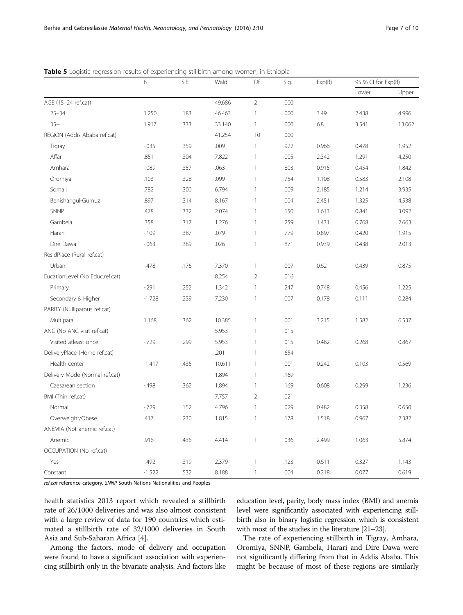|                                 | $\sf B$  | S.E. | Wald   | Df             | Sig. | Exp(B) | 95 % CI for Exp(B) |        |
|---------------------------------|----------|------|--------|----------------|------|--------|--------------------|--------|
|                                 |          |      |        |                |      | Lower  | Upper              |        |
| AGE (15-24 ref.cat)             |          |      | 49.686 | $\overline{2}$ | .000 |        |                    |        |
| $25 - 34$                       | 1.250    | .183 | 46.463 | $\mathbf{1}$   | .000 | 3.49   | 2.438              | 4.996  |
| $35+$                           | 1.917    | .333 | 33.140 | $\mathbf{1}$   | .000 | 6.8    | 3.541              | 13.062 |
| REGION (Addis Ababa ref.cat)    |          |      | 41.254 | 10             | .000 |        |                    |        |
| Tigray                          | $-0.035$ | .359 | .009   | $\mathbf{1}$   | .922 | 0.966  | 0.478              | 1.952  |
| Affar                           | .851     | .304 | 7.822  | $\mathbf{1}$   | .005 | 2.342  | 1.291              | 4.250  |
| Amhara                          | $-089$   | .357 | .063   | $\mathbf{1}$   | .803 | 0.915  | 0.454              | 1.842  |
| Oromiya                         | .103     | .328 | .099   | $\mathbf{1}$   | .754 | 1.108  | 0.583              | 2.108  |
| Somali                          | .782     | .300 | 6.794  | $\mathbf{1}$   | .009 | 2.185  | 1.214              | 3.935  |
| Benishangul-Gumuz               | .897     | .314 | 8.167  | $\mathbf{1}$   | .004 | 2.451  | 1.325              | 4.538  |
| SNNP                            | .478     | .332 | 2.074  | $\mathbf{1}$   | .150 | 1.613  | 0.841              | 3.092  |
| Gambela                         | .358     | .317 | 1.276  | $\mathbf{1}$   | .259 | 1.431  | 0.768              | 2.663  |
| Harari                          | $-109$   | .387 | .079   | $\mathbf{1}$   | .779 | 0.897  | 0.420              | 1.915  |
| Dire Dawa                       | $-063$   | .389 | .026   | $\mathbf{1}$   | .871 | 0.939  | 0.438              | 2.013  |
| ResidPlace (Rural ref.cat)      |          |      |        |                |      |        |                    |        |
| Urban                           | $-478$   | .176 | 7.370  | $\mathbf{1}$   | .007 | 0.62   | 0.439              | 0.875  |
| EucationLevel (No Educ.ref.cat) |          |      | 8.254  | $\overline{2}$ | .016 |        |                    |        |
| Primary                         | $-291$   | .252 | 1.342  | $\mathbf{1}$   | .247 | 0.748  | 0.456              | 1.225  |
| Secondary & Higher              | $-1.728$ | .239 | 7.230  | $\mathbf{1}$   | .007 | 0.178  | 0.111              | 0.284  |
| PARITY (Nulliparous ref.cat)    |          |      |        |                |      |        |                    |        |
| Multipara                       | 1.168    | .362 | 10.385 | $\mathbf{1}$   | .001 | 3.215  | 1.582              | 6.537  |
| ANC (No ANC visit ref.cat)      |          |      | 5.953  | $\mathbf{1}$   | .015 |        |                    |        |
| Visited atleast once            | $-729$   | .299 | 5.953  | $\mathbf{1}$   | .015 | 0.482  | 0.268              | 0.867  |
| DeliveryPlace (Home ref.cat)    |          |      | .201   | $\mathbf{1}$   | .654 |        |                    |        |
| Health center                   | $-1.417$ | .435 | 10.611 | $\mathbf{1}$   | .001 | 0.242  | 0.103              | 0.569  |
| Delivery Mode (Normal ref.cat)  |          |      | 1.894  | $\mathbf{1}$   | .169 |        |                    |        |
| Caesarean section               | $-498$   | .362 | 1.894  | $\mathbf{1}$   | .169 | 0.608  | 0.299              | 1.236  |
| BMI (Thin ref.cat)              |          |      | 7.757  | $\overline{2}$ | .021 |        |                    |        |
| Normal                          | $-729$   | .152 | 4.796  | $\mathbf{1}$   | .029 | 0.482  | 0.358              | 0.650  |
| Overweight/Obese                | .417     | .230 | 1.815  | $\mathbf{1}$   | .178 | 1.518  | 0.967              | 2.382  |
| ANEMIA (Not anemic ref.cat)     |          |      |        |                |      |        |                    |        |
| Anemic                          | .916     | .436 | 4.414  | $\mathbf{1}$   | .036 | 2.499  | 1.063              | 5.874  |
| OCCUPATION (No ref.cat)         |          |      |        |                |      |        |                    |        |
| Yes                             | $-492$   | .319 | 2.379  | $\mathbb{1}$   | .123 | 0.611  | 0.327              | 1.143  |
| Constant                        | $-1.522$ | .532 | 8.188  | $\mathbf{1}$   | .004 | 0.218  | 0.077              | 0.619  |

<span id="page-6-0"></span>Table 5 Logistic regression results of experiencing stillbirth among women, in Ethiopia

ref.cat reference category, SNNP South Nations Nationalities and Peoples

health statistics 2013 report which revealed a stillbirth rate of 26/1000 deliveries and was also almost consistent with a large review of data for 190 countries which estimated a stillbirth rate of 32/1000 deliveries in South Asia and Sub-Saharan Africa [[4\]](#page-8-0).

Among the factors, mode of delivery and occupation were found to have a significant association with experiencing stillbirth only in the bivariate analysis. And factors like

education level, parity, body mass index (BMI) and anemia level were significantly associated with experiencing stillbirth also in binary logistic regression which is consistent with most of the studies in the literature [[21](#page-8-0)–[23](#page-8-0)].

The rate of experiencing stillbirth in Tigray, Amhara, Oromiya, SNNP, Gambela, Harari and Dire Dawa were not significantly differing from that in Addis Ababa. This might be because of most of these regions are similarly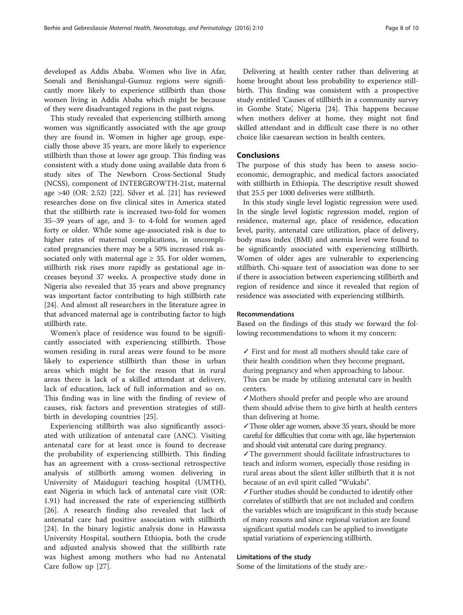developed as Addis Ababa. Women who live in Afar, Somali and Benishangul-Gumuz regions were significantly more likely to experience stillbirth than those women living in Addis Ababa which might be because of they were disadvantaged regions in the past reigns.

This study revealed that experiencing stillbirth among women was significantly associated with the age group they are found in. Women in higher age group, especially those above 35 years, are more likely to experience stillbirth than those at lower age group. This finding was consistent with a study done using available data from 6 study sites of The Newborn Cross-Sectional Study (NCSS), component of INTERGROWTH-21st, maternal age >40 (OR: 2.52) [[22](#page-8-0)]. Silver et al. [\[21](#page-8-0)] has reviewed researches done on five clinical sites in America stated that the stillbirth rate is increased two-fold for women 35–39 years of age, and 3- to 4-fold for women aged forty or older. While some age-associated risk is due to higher rates of maternal complications, in uncomplicated pregnancies there may be a 50% increased risk associated only with maternal age  $\geq$  35. For older women, stillbirth risk rises more rapidly as gestational age increases beyond 37 weeks. A prospective study done in Nigeria also revealed that 35 years and above pregnancy was important factor contributing to high stillbirth rate [[24\]](#page-8-0). And almost all researchers in the literature agree in that advanced maternal age is contributing factor to high stillbirth rate.

Women's place of residence was found to be significantly associated with experiencing stillbirth. Those women residing in rural areas were found to be more likely to experience stillbirth than those in urban areas which might be for the reason that in rural areas there is lack of a skilled attendant at delivery, lack of education, lack of full information and so on. This finding was in line with the finding of review of causes, risk factors and prevention strategies of stillbirth in developing countries [[25\]](#page-8-0).

Experiencing stillbirth was also significantly associated with utilization of antenatal care (ANC). Visiting antenatal care for at least once is found to decrease the probability of experiencing stillbirth. This finding has an agreement with a cross-sectional retrospective analysis of stillbirth among women delivering in University of Maiduguri teaching hospital (UMTH), east Nigeria in which lack of antenatal care visit (OR: 1.91) had increased the rate of experiencing stillbirth [[26\]](#page-9-0). A research finding also revealed that lack of antenatal care had positive association with stillbirth [[24\]](#page-8-0). In the binary logistic analysis done in Hawassa University Hospital, southern Ethiopia, both the crude and adjusted analysis showed that the stillbirth rate was highest among mothers who had no Antenatal Care follow up [[27](#page-9-0)].

Delivering at health center rather than delivering at home brought about less probability to experience stillbirth. This finding was consistent with a prospective study entitled 'Causes of stillbirth in a community survey in Gombe State', Nigeria [[24\]](#page-8-0). This happens because when mothers deliver at home, they might not find skilled attendant and in difficult case there is no other choice like caesarean section in health centers.

## Conclusions

The purpose of this study has been to assess socioeconomic, demographic, and medical factors associated with stillbirth in Ethiopia. The descriptive result showed that 25.5 per 1000 deliveries were stillbirth.

In this study single level logistic regression were used. In the single level logistic regression model, region of residence, maternal age, place of residence, education level, parity, antenatal care utilization, place of delivery, body mass index (BMI) and anemia level were found to be significantly associated with experiencing stillbirth. Women of older ages are vulnerable to experiencing stillbirth. Chi-square test of association was done to see if there is association between experiencing stillbirth and region of residence and since it revealed that region of residence was associated with experiencing stillbirth.

## Recommendations

Based on the findings of this study we forward the following recommendations to whom it my concern:

✓ First and for most all mothers should take care of their health condition when they become pregnant, during pregnancy and when approaching to labour. This can be made by utilizing antenatal care in health centers.

✓Mothers should prefer and people who are around them should advise them to give birth at health centers than delivering at home.

✓Those older age women, above 35 years, should be more careful for difficulties that come with age, like hypertension and should visit antenatal care during pregnancy.

✓The government should facilitate infrastructures to teach and inform women, especially those residing in rural areas about the silent killer stillbirth that it is not because of an evil spirit called "Wukabi".

✓Further studies should be conducted to identify other correlates of stillbirth that are not included and confirm the variables which are insignificant in this study because of many reasons and since regional variation are found significant spatial models can be applied to investigate spatial variations of experiencing stillbirth.

## Limitations of the study

Some of the limitations of the study are:-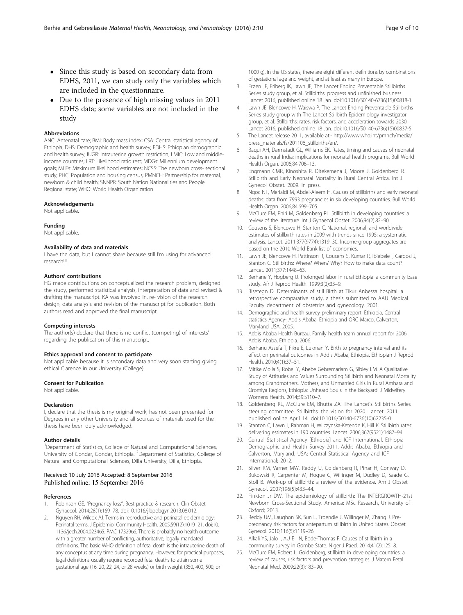- <span id="page-8-0"></span> Since this study is based on secondary data from EDHS, 2011, we can study only the variables which are included in the questionnaire.
- Due to the presence of high missing values in 2011 EDHS data; some variables are not included in the study

#### Abbreviations

ANC: Antenatal care; BMI: Body mass index; CSA: Central statistical agency of Ethiopia; DHS: Demographic and health survey; EDHS: Ethiopian demographic and health survey; IUGR: Intrauterine growth restriction; LMIC: Low and middleincome countries; LRT: Likelihood ratio rest; MDGs: Millennium development goals; MLEs: Maximum likelihood estimates; NCSS: The newborn cross- sectional study; PHC: Population and housing census; PMNCH: Partnership for maternal, newborn & child health; SNNPR: South Nation Nationalities and People Regional state; WHO: World Health Organization

#### Acknowledgements

Not applicable.

#### Funding

Not applicable.

#### Availability of data and materials

I have the data, but I cannot share because still I'm using for advanced research!!!

#### Authors' contributions

HG made contributions on conceptualized the research problem, designed the study, performed statistical analysis, interpretation of data and revised & drafting the manuscript. KA was involved in, re- vision of the research design, data analysis and revision of the manuscript for publication. Both authors read and approved the final manuscript.

#### Competing interests

The author(s) declare that there is no conflict (competing) of interests' regarding the publication of this manuscript.

#### Ethics approval and consent to participate

Not applicable because it is secondary data and very soon starting giving ethical Clarence in our University (College).

#### Consent for Publication

Not applicable.

#### Declaration

I, declare that the thesis is my original work, has not been presented for Degrees in any other University and all sources of materials used for the thesis have been duly acknowledged.

#### Author details

<sup>1</sup>Department of Statistics, College of Natural and Computational Sciences, University of Gondar, Gondar, Ethiopia. <sup>2</sup>Department of Statistics, College of Natural and Computational Sciences, Dilla University, Dilla, Ethiopia.

#### Received: 10 July 2016 Accepted: 8 September 2016 Published online: 15 September 2016

#### References

- 1. Robinson GE. "Pregnancy loss". Best practice & research. Clin Obstet Gynaecol. 2014;28(1):169–78. doi[:10.1016/j.bpobgyn.2013.08.012.](http://dx.doi.org/10.1016/j.bpobgyn.2013.08.012)
- 2. Nguyen RH, Wilcox AJ. Terms in reproductive and perinatal epidemiology: Perinatal terms. J Epidemiol Community Health. 2005;59(12):1019–21. doi:[10.](http://dx.doi.org/10.1136/jech.2004.023465) [1136/jech.2004.023465](http://dx.doi.org/10.1136/jech.2004.023465). PMC 1732966. There is probably no health outcome with a greater number of conflicting, authoritative, legally mandated definitions. The basic WHO definition of fetal death is the intrauterine death of any conceptus at any time during pregnancy. However, for practical purposes, legal definitions usually require recorded fetal deaths to attain some gestational age (16, 20, 22, 24, or 28 weeks) or birth weight (350, 400, 500, or

1000 g). In the US states, there are eight different definitions by combinations of gestational age and weight, and at least as many in Europe.

- 3. Frøen JF, Friberg IK, Lawn JE, The Lancet Ending Preventable Stillbirths Series study group, et al. Stillbirths: progress and unfinished business. Lancet 2016; published online 18 Jan. doi:[10.1016/S0140-6736\(15\)00818-1.](http://dx.doi.org/10.1016/S0140-6736(15)00818-1)
- 4. Lawn JE, Blencowe H, Waiswa P, The Lancet Ending Preventable Stillbirths Series study group with The Lancet Stillbirth Epidemiology investigator group, et al. Stillbirths: rates, risk factors, and acceleration towards 2030. Lancet 2016; published online 18 Jan. doi:[10.1016/S0140-6736\(15\)00837-5.](http://dx.doi.org/10.1016/S0140-6736(15)00837-5)
- 5. The Lancet release 2011, available at:- [http://www.who.int/pmnch/media/](http://www.who.int/pmnch/media/press_materials/fs/201106_stillbirths/en/) [press\\_materials/fs/201106\\_stillbirths/en/.](http://www.who.int/pmnch/media/press_materials/fs/201106_stillbirths/en/)
- 6. Baqui AH, Darmstadt GL, Williams EK. Rates, timing and causes of neonatal deaths in rural India: implications for neonatal health programs. Bull World Health Organ. 2006;84:706–13.
- 7. Engmann CMR, Kinoshita R, Ditekemena J, Moore J, Goldenberg R. Stillbirth and Early Neonatal Mortality in Rural Central Africa. Int J Gynecol Obstet. 2009. in press.
- 8. Ngoc NT, Merialdi M, Abdel-Aleem H. Causes of stillbirths and early neonatal deaths: data from 7993 pregnancies in six developing countries. Bull World Health Organ. 2006;84:699–705.
- 9. McClure EM, Phiri M, Goldenberg RL. Stillbirth in developing countries: a review of the literature. Int J Gynaecol Obstet. 2006;94(2):82–90.
- 10. Cousens S, Blencowe H, Stanton C. National, regional, and worldwide estimates of stillbirth rates in 2009 with trends since 1995: a systematic analysis. Lancet. 2011;377(9774):1319–30. Income-group aggregates are based on the 2010 World Bank list of economies.
- 11. Lawn JE, Blencowe H, Pattinson R, Cousens S, Kumar R, Ibiebele I, Gardosi J, Stanton C. Stillbirths: Where? When? Why? How to make data count? Lancet. 2011;377:1448–63.
- 12. Berhane Y, Hogberg U. Prolonged labor in rural Ethiopia: a community base study. Afr J Reprod Health. 1999;3(2):33–9.
- 13. Bisetegn D. Determinants of still Birth at Tikur Anbessa hospital: a retrospective comparative study, a thesis submitted to AAU Medical Faculty department of obstetrics and gynecology. 2001.
- 14. Demographic and health survey preliminary report, Ethiopia, Central statistics Agency- Addis Ababa, Ethiopia and ORC Marco, Calverton, Maryland USA. 2005.
- 15. Addis Ababa Health Bureau. Family health team annual report for 2006. Addis Ababa, Ethiopia. 2006.
- 16. Berhanu Assefa T, Fikre E, Lukman Y. Birth to pregnancy interval and its effect on perinatal outcomes in Addis Ababa, Ethiopia. Ethiopian J Reprod Health. 2010;4(1):37–51.
- 17. Mitike Molla S, Robel Y, Abebe Gebremariam G, Sibley LM. A Qualitative Study of Attitudes and Values Surrounding Stillbirth and Neonatal Mortality among Grandmothers, Mothers, and Unmarried Girls in Rural Amhara and Oromiya Regions, Ethiopia: Unheard Souls in the Backyard. J Midwifery Womens Health. 2014;59:S110–7.
- 18. Goldenberg RL, McClure EM, Bhutta ZA. The Lancet's Stillbirths Series steering committee. Stillbirths: the vision for 2020. Lancet. 2011. published online April 14. doi:[10.1016/S0140-6736\(10\)62235-0](http://dx.doi.org/10.1016/S0140-6736(10)62235-0).
- 19. Stanton C, Lawn J, Rahman H, Wilczynska-Ketende K, Hill K. Stillbirth rates: delivering estimates in 190 countries. Lancet. 2006;367(9521):1487–94.
- 20. Central Statistical Agency [Ethiopia] and ICF International. Ethiopia Demographic and Health Survey 2011. Addis Ababa, Ethiopia and Calverton, Maryland, USA: Central Statistical Agency and ICF International; 2012.
- 21. Silver RM, Varner MW, Reddy U, Goldenberg R, Pinar H, Conway D, Bukowski R, Carpenter M, Hogue C, Willinger M, Dudley D, Saade G, Stoll B. Work-up of stillbirth: a review of the evidence. Am J Obstet Gynecol. 2007;196(5):433–44.
- 22. Finkton Jr DW. The epidemiology of stillbirth: The INTERGROWTH-21st Newborn Cross-Sectional Study. America: MSc Research, University of Oxford; 2013.
- 23. Reddy UM, Laughon SK, Sun L, Troendle J, Willinger M, Zhang J. Prepregnancy risk factors for antepartum stillbirth in United States. Obstet Gynecol. 2010;116(5):1119–26.
- 24. Alkali YS, Jalo I, AU E –N, Bode-Thomas F. Causes of stillbirth in a community survey in Gombe State. Niger J Paed. 2014;41(2):125–8.
- 25. McClure EM, Robert L. Goldenberg, stillbirth in developing countries: a review of causes, risk factors and prevention strategies. J Matern Fetal Neonatal Med. 2009;22(3):183–90.